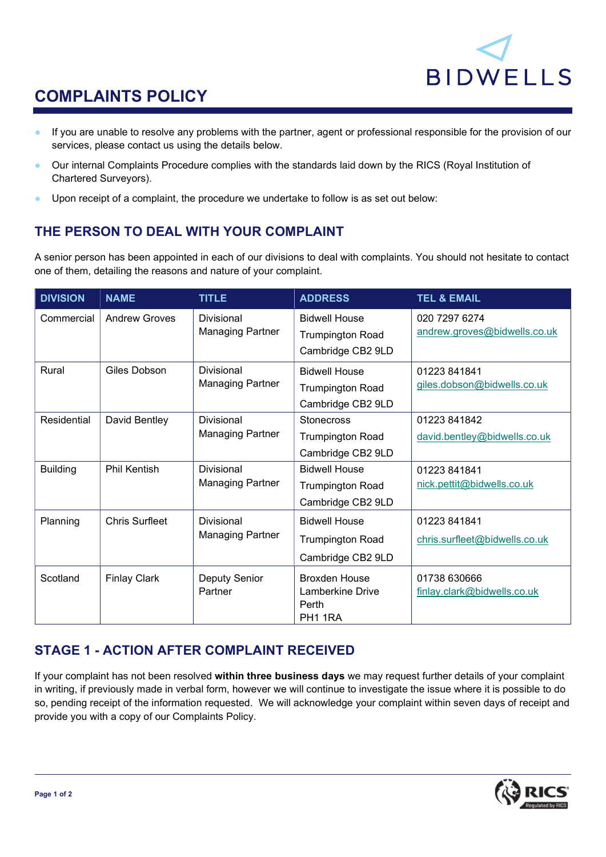

# COMPLAINTS POLICY

- If you are unable to resolve any problems with the partner, agent or professional responsible for the provision of our services, please contact us using the details below.
- Our internal Complaints Procedure complies with the standards laid down by the RICS (Royal Institution of Chartered Surveyors).
- Upon receipt of a complaint, the procedure we undertake to follow is as set out below:

## THE PERSON TO DEAL WITH YOUR COMPLAINT

A senior person has been appointed in each of our divisions to deal with complaints. You should not hesitate to contact one of them, detailing the reasons and nature of your complaint.

| <b>DIVISION</b> | <b>NAME</b>           | <b>TITLE</b>                                 | <b>ADDRESS</b>                                                       | <b>TEL &amp; EMAIL</b>                        |
|-----------------|-----------------------|----------------------------------------------|----------------------------------------------------------------------|-----------------------------------------------|
| Commercial      | <b>Andrew Groves</b>  | <b>Divisional</b><br><b>Managing Partner</b> | <b>Bidwell House</b><br><b>Trumpington Road</b><br>Cambridge CB2 9LD | 020 7297 6274<br>andrew.groves@bidwells.co.uk |
| Rural           | Giles Dobson          | Divisional<br><b>Managing Partner</b>        | <b>Bidwell House</b><br><b>Trumpington Road</b><br>Cambridge CB2 9LD | 01223841841<br>giles.dobson@bidwells.co.uk    |
| Residential     | David Bentley         | Divisional<br><b>Managing Partner</b>        | <b>Stonecross</b><br><b>Trumpington Road</b><br>Cambridge CB2 9LD    | 01223 841842<br>david.bentley@bidwells.co.uk  |
| <b>Building</b> | <b>Phil Kentish</b>   | Divisional<br><b>Managing Partner</b>        | <b>Bidwell House</b><br><b>Trumpington Road</b><br>Cambridge CB2 9LD | 01223841841<br>nick.pettit@bidwells.co.uk     |
| Planning        | <b>Chris Surfleet</b> | Divisional<br><b>Managing Partner</b>        | <b>Bidwell House</b><br><b>Trumpington Road</b><br>Cambridge CB2 9LD | 01223 841841<br>chris.surfleet@bidwells.co.uk |
| Scotland        | <b>Finlay Clark</b>   | <b>Deputy Senior</b><br>Partner              | <b>Broxden House</b><br>Lamberkine Drive<br>Perth<br>PH1 1RA         | 01738 630666<br>finlay.clark@bidwells.co.uk   |

## STAGE 1 - ACTION AFTER COMPLAINT RECEIVED

If your complaint has not been resolved within three business days we may request further details of your complaint in writing, if previously made in verbal form, however we will continue to investigate the issue where it is possible to do so, pending receipt of the information requested. We will acknowledge your complaint within seven days of receipt and provide you with a copy of our Complaints Policy.